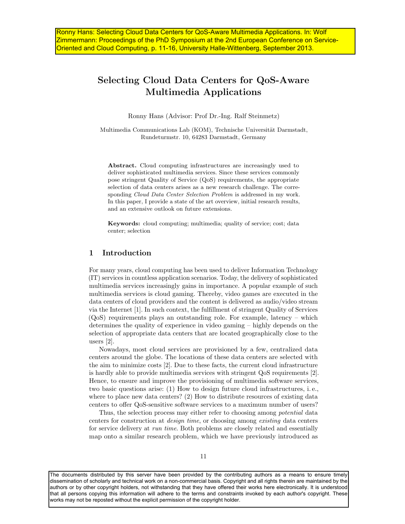# Selecting Cloud Data Centers for QoS-Aware Multimedia Applications

Ronny Hans (Advisor: Prof Dr.-Ing. Ralf Steinmetz)

Multimedia Communications Lab (KOM), Technische Universität Darmstadt, Rundeturmstr. 10, 64283 Darmstadt, Germany

Abstract. Cloud computing infrastructures are increasingly used to deliver sophisticated multimedia services. Since these services commonly pose stringent Quality of Service (QoS) requirements, the appropriate selection of data centers arises as a new research challenge. The corresponding Cloud Data Center Selection Problem is addressed in my work. In this paper, I provide a state of the art overview, initial research results, and an extensive outlook on future extensions.

Keywords: cloud computing; multimedia; quality of service; cost; data center; selection

# 1 Introduction

For many years, cloud computing has been used to deliver Information Technology (IT) services in countless application scenarios. Today, the delivery of sophisticated multimedia services increasingly gains in importance. A popular example of such multimedia services is cloud gaming. Thereby, video games are executed in the data centers of cloud providers and the content is delivered as audio/video stream via the Internet [1]. In such context, the fulfillment of stringent Quality of Services (QoS) requirements plays an outstanding role. For example, latency – which determines the quality of experience in video gaming – highly depends on the selection of appropriate data centers that are located geographically close to the users [2].

Nowadays, most cloud services are provisioned by a few, centralized data centers around the globe. The locations of these data centers are selected with the aim to minimize costs [2]. Due to these facts, the current cloud infrastructure is hardly able to provide multimedia services with stringent QoS requirements [2]. Hence, to ensure and improve the provisioning of multimedia software services, two basic questions arise: (1) How to design future cloud infrastructures, i. e., where to place new data centers? (2) How to distribute resources of existing data centers to offer QoS-sensitive software services to a maximum number of users?

Thus, the selection process may either refer to choosing among potential data centers for construction at design time, or choosing among existing data centers for service delivery at run time. Both problems are closely related and essentially map onto a similar research problem, which we have previously introduced as

The documents distributed by this server have been provided by the contributing authors as a means to ensure timely dissemination of scholarly and technical work on a non-commercial basis. Copyright and all rights therein are maintained by the authors or by other copyright holders, not withstanding that they have offered their works here electronically. It is understood that all persons copying this information will adhere to the terms and constraints invoked by each author's copyright. These works may not be reposted without the explicit permission of the copyright holder.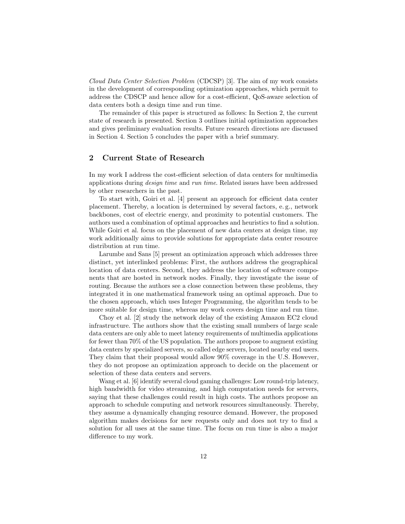Cloud Data Center Selection Problem (CDCSP) [3]. The aim of my work consists in the development of corresponding optimization approaches, which permit to address the CDSCP and hence allow for a cost-efficient, QoS-aware selection of data centers both a design time and run time.

The remainder of this paper is structured as follows: In Section 2, the current state of research is presented. Section 3 outlines initial optimization approaches and gives preliminary evaluation results. Future research directions are discussed in Section 4. Section 5 concludes the paper with a brief summary.

# 2 Current State of Research

In my work I address the cost-efficient selection of data centers for multimedia applications during design time and run time. Related issues have been addressed by other researchers in the past.

To start with, Goiri et al. [4] present an approach for efficient data center placement. Thereby, a location is determined by several factors, e. g., network backbones, cost of electric energy, and proximity to potential customers. The authors used a combination of optimal approaches and heuristics to find a solution. While Goiri et al. focus on the placement of new data centers at design time, my work additionally aims to provide solutions for appropriate data center resource distribution at run time.

Larumbe and Sans [5] present an optimization approach which addresses three distinct, yet interlinked problems: First, the authors address the geographical location of data centers. Second, they address the location of software components that are hosted in network nodes. Finally, they investigate the issue of routing. Because the authors see a close connection between these problems, they integrated it in one mathematical framework using an optimal approach. Due to the chosen approach, which uses Integer Programming, the algorithm tends to be more suitable for design time, whereas my work covers design time and run time.

Choy et al. [2] study the network delay of the existing Amazon EC2 cloud infrastructure. The authors show that the existing small numbers of large scale data centers are only able to meet latency requirements of multimedia applications for fewer than 70% of the US population. The authors propose to augment existing data centers by specialized servers, so called edge servers, located nearby end users. They claim that their proposal would allow 90% coverage in the U.S. However, they do not propose an optimization approach to decide on the placement or selection of these data centers and servers.

Wang et al. [6] identify several cloud gaming challenges: Low round-trip latency, high bandwidth for video streaming, and high computation needs for servers, saying that these challenges could result in high costs. The authors propose an approach to schedule computing and network resources simultaneously. Thereby, they assume a dynamically changing resource demand. However, the proposed algorithm makes decisions for new requests only and does not try to find a solution for all uses at the same time. The focus on run time is also a major difference to my work.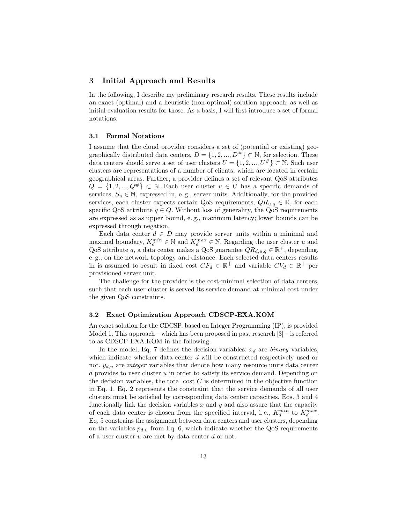## 3 Initial Approach and Results

In the following, I describe my preliminary research results. These results include an exact (optimal) and a heuristic (non-optimal) solution approach, as well as initial evaluation results for those. As a basis, I will first introduce a set of formal notations.

#### 3.1 Formal Notations

I assume that the cloud provider considers a set of (potential or existing) geographically distributed data centers,  $D = \{1, 2, ..., D^{\#}\}\subset \mathbb{N}$ , for selection. These data centers should serve a set of user clusters  $U = \{1, 2, ..., U^{\#}\}\subset \mathbb{N}$ . Such user clusters are representations of a number of clients, which are located in certain geographical areas. Further, a provider defines a set of relevant QoS attributes  $Q = \{1, 2, ..., Q^{\#}\}\subset \mathbb{N}$ . Each user cluster  $u \in U$  has a specific demands of services,  $S_u \in \mathbb{N}$ , expressed in, e.g., server units. Additionally, for the provided services, each cluster expects certain QoS requirements,  $QR_{u,q} \in \mathbb{R}$ , for each specific QoS attribute  $q \in Q$ . Without loss of generality, the QoS requirements are expressed as as upper bound, e. g., maximum latency; lower bounds can be expressed through negation.

Each data center  $d \in D$  may provide server units within a minimal and maximal boundary,  $K_d^{min} \in \mathbb{N}$  and  $K_d^{max} \in \mathbb{N}$ . Regarding the user cluster u and QoS attribute q, a data center makes a QoS guarantee  $QR_{d,u,q} \in \mathbb{R}^+$ , depending, e. g., on the network topology and distance. Each selected data centers results in is assumed to result in fixed cost  $CF_d \in \mathbb{R}^+$  and variable  $CV_d \in \mathbb{R}^+$  per provisioned server unit.

The challenge for the provider is the cost-minimal selection of data centers, such that each user cluster is served its service demand at minimal cost under the given QoS constraints.

## 3.2 Exact Optimization Approach CDSCP-EXA.KOM

An exact solution for the CDCSP, based on Integer Programming (IP), is provided Model 1. This approach – which has been proposed in past research [3] – is referred to as CDSCP-EXA.KOM in the following.

In the model, Eq. 7 defines the decision variables:  $x_d$  are binary variables, which indicate whether data center d will be constructed respectively used or not.  $y_{d,u}$  are *integer* variables that denote how many resource units data center  $d$  provides to user cluster  $u$  in order to satisfy its service demand. Depending on the decision variables, the total cost  $C$  is determined in the objective function in Eq. 1. Eq. 2 represents the constraint that the service demands of all user clusters must be satisfied by corresponding data center capacities. Eqs. 3 and 4 functionally link the decision variables  $x$  and  $y$  and also assure that the capacity of each data center is chosen from the specified interval, i.e.,  $K_d^{min}$  to  $K_d^{max}$ . Eq. 5 constrains the assignment between data centers and user clusters, depending on the variables  $p_{d,u}$  from Eq. 6, which indicate whether the QoS requirements of a user cluster  $u$  are met by data center  $d$  or not.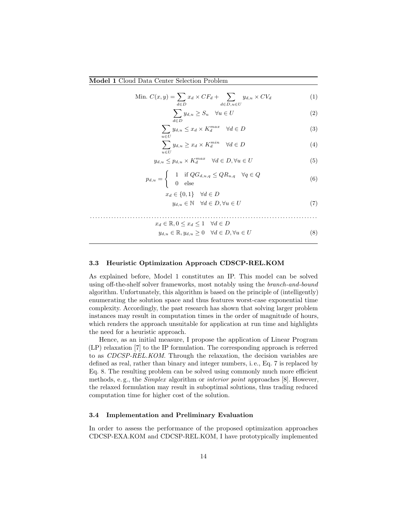## Model 1 Cloud Data Center Selection Problem

Min. 
$$
C(x, y) = \sum_{d \in D} x_d \times CF_d + \sum_{d \in D, u \in U} y_{d, u} \times CV_d
$$
 (1)

$$
\sum_{d \in D} y_{d,u} \ge S_u \quad \forall u \in U \tag{2}
$$

$$
\sum_{u \in U} y_{d,u} \le x_d \times K_d^{max} \quad \forall d \in D \tag{3}
$$

$$
\sum_{u \in U} y_{d,u} \ge x_d \times K_d^{min} \quad \forall d \in D \tag{4}
$$

$$
y_{d,u} \le p_{d,u} \times K_d^{max} \quad \forall d \in D, \forall u \in U
$$
 (5)

$$
p_{d,u} = \begin{cases} 1 & \text{if } QG_{d,u,q} \le QR_{u,q} \quad \forall q \in Q \\ 0 & \text{else} \end{cases}
$$
(6)

$$
x_d \in \{0, 1\} \quad \forall d \in D
$$
  

$$
y_{d,u} \in \mathbb{N} \quad \forall d \in D, \forall u \in U
$$
 (7)

$$
x_d \in \mathbb{R}, 0 \le x_d \le 1 \quad \forall d \in D
$$

$$
y_{d,u} \in \mathbb{R}, y_{d,u} \ge 0 \quad \forall d \in D, \forall u \in U \tag{8}
$$

#### 3.3 Heuristic Optimization Approach CDSCP-REL.KOM

As explained before, Model 1 constitutes an IP. This model can be solved using off-the-shelf solver frameworks, most notably using the branch-and-bound algorithm. Unfortunately, this algorithm is based on the principle of (intelligently) enumerating the solution space and thus features worst-case exponential time complexity. Accordingly, the past research has shown that solving larger problem instances may result in computation times in the order of magnitude of hours, which renders the approach unsuitable for application at run time and highlights the need for a heuristic approach.

Hence, as an initial measure, I propose the application of Linear Program (LP) relaxation [7] to the IP formulation. The corresponding approach is referred to as CDCSP-REL.KOM. Through the relaxation, the decision variables are defined as real, rather than binary and integer numbers, i. e., Eq. 7 is replaced by Eq. 8. The resulting problem can be solved using commonly much more efficient methods, e.g., the *Simplex* algorithm or *interior point* approaches [8]. However, the relaxed formulation may result in suboptimal solutions, thus trading reduced computation time for higher cost of the solution.

#### 3.4 Implementation and Preliminary Evaluation

In order to assess the performance of the proposed optimization approaches CDCSP-EXA.KOM and CDCSP-REL.KOM, I have prototypically implemented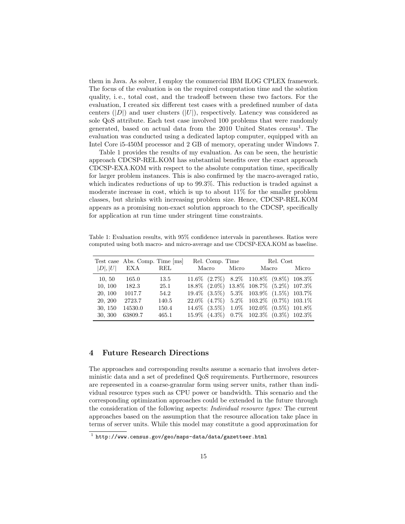them in Java. As solver, I employ the commercial IBM ILOG CPLEX framework. The focus of the evaluation is on the required computation time and the solution quality, i. e., total cost, and the tradeoff between these two factors. For the evaluation, I created six different test cases with a predefined number of data centers  $(|D|)$  and user clusters  $(|U|)$ , respectively. Latency was considered as sole QoS attribute. Each test case involved 100 problems that were randomly generated, based on actual data from the  $2010$  United States census<sup>1</sup>. The evaluation was conducted using a dedicated laptop computer, equipped with an Intel Core i5-450M processor and 2 GB of memory, operating under Windows 7.

Table 1 provides the results of my evaluation. As can be seen, the heuristic approach CDCSP-REL.KOM has substantial benefits over the exact approach CDCSP-EXA.KOM with respect to the absolute computation time, specifically for larger problem instances. This is also confirmed by the macro-averaged ratio, which indicates reductions of up to 99.3%. This reduction is traded against a moderate increase in cost, which is up to about 11% for the smaller problem classes, but shrinks with increasing problem size. Hence, CDCSP-REL.KOM appears as a promising non-exact solution approach to the CDCSP, specifically for application at run time under stringent time constraints.

Table 1: Evaluation results, with 95% confidence intervals in parentheses. Ratios were computed using both macro- and micro-average and use CDCSP-EXA.KOM as baseline.

|         | Test case Abs. Comp. Time [ms] |       | Rel. Comp. Time |  |       | Rel. Cost                                                |  |       |
|---------|--------------------------------|-------|-----------------|--|-------|----------------------------------------------------------|--|-------|
| D ,  U  | EXA                            | REL   | Macro           |  | Micro | Macro                                                    |  | Micro |
| 10, 50  | 165.0                          | 13.5  |                 |  |       | $11.6\%$ $(2.7\%)$ $8.2\%$ $110.8\%$ $(9.8\%)$ $108.3\%$ |  |       |
| 10, 100 | 182.3                          | 25.1  |                 |  |       | 18.8% (2.0%) 13.8% 108.7% (5.2%) 107.3%                  |  |       |
| 20, 100 | 1017.7                         | 54.2  |                 |  |       | $19.4\%$ $(3.5\%)$ $5.3\%$ $103.9\%$ $(1.5\%)$ $103.7\%$ |  |       |
| 20, 200 | 2723.7                         | 140.5 |                 |  |       | $22.0\%$ (4.7%) $5.2\%$ 103.2% (0.7%) 103.1%             |  |       |
| 30, 150 | 14530.0                        | 150.4 |                 |  |       | 14.6% (3.5%) 1.0% 102.0% (0.5%) 101.8%                   |  |       |
| 30, 300 | 63809.7                        | 465.1 |                 |  |       | 15.9% (4.3%) 0.7% 102.3% (0.3%) 102.3%                   |  |       |

# 4 Future Research Directions

The approaches and corresponding results assume a scenario that involves deterministic data and a set of predefined QoS requirements. Furthermore, resources are represented in a coarse-granular form using server units, rather than individual resource types such as CPU power or bandwidth. This scenario and the corresponding optimization approaches could be extended in the future through the consideration of the following aspects: Individual resource types: The current approaches based on the assumption that the resource allocation take place in terms of server units. While this model may constitute a good approximation for

 $^{\rm 1}$  http://www.census.gov/geo/maps-data/data/gazetteer.html